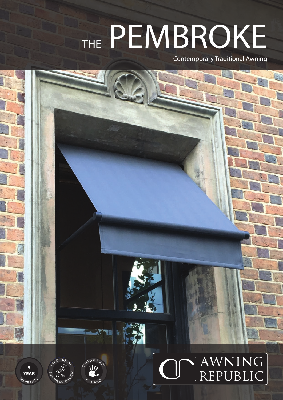## THE PEMBROKE

Contemporary Traditional Awning